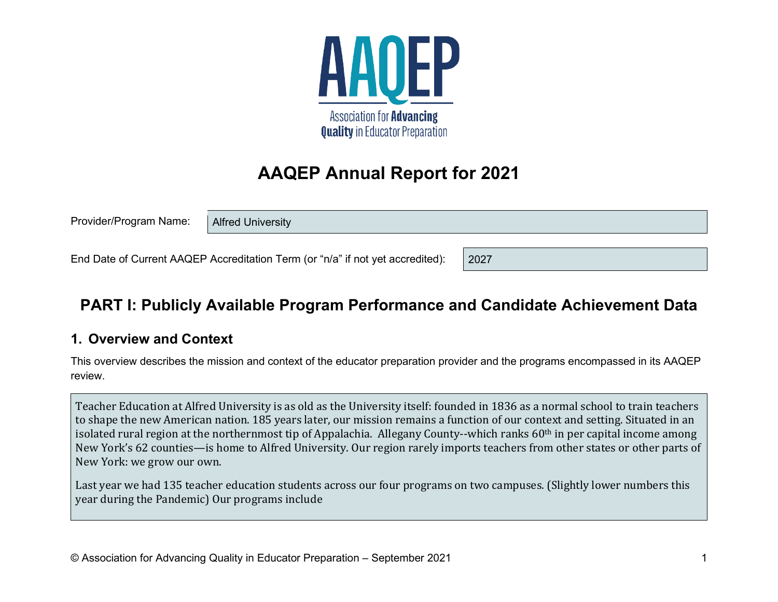

# **AAQEP Annual Report for 2021**

Provider/Program Name:

Alfred University

End Date of Current AAQEP Accreditation Term (or "n/a" if not yet accredited):

# **PART I: Publicly Available Program Performance and Candidate Achievement Data**

2027

### **1. Overview and Context**

This overview describes the mission and context of the educator preparation provider and the programs encompassed in its AAQEP review.

Teacher Education at Alfred University is as old as the University itself: founded in 1836 as a normal school to train teachers to shape the new American nation. 185 years later, our mission remains a function of our context and setting. Situated in an isolated rural region at the northernmost tip of Appalachia. Allegany County--which ranks 60th in per capital income among New York's 62 counties—is home to Alfred University. Our region rarely imports teachers from other states or other parts of New York: we grow our own.

Last year we had 135 teacher education students across our four programs on two campuses. (Slightly lower numbers this year during the Pandemic) Our programs include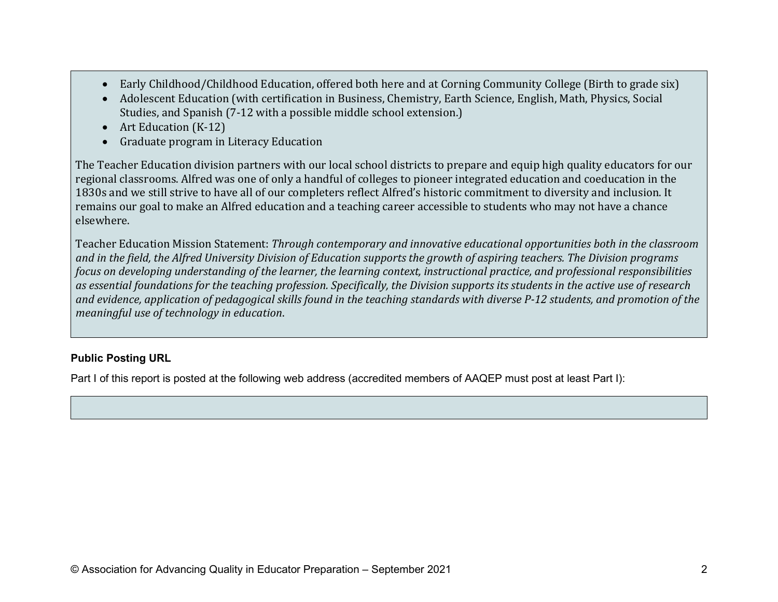- Early Childhood/Childhood Education, offered both here and at Corning Community College (Birth to grade six)
- Adolescent Education (with certification in Business, Chemistry, Earth Science, English, Math, Physics, Social Studies, and Spanish (7-12 with a possible middle school extension.)
- Art Education (K-12)
- Graduate program in Literacy Education

The Teacher Education division partners with our local school districts to prepare and equip high quality educators for our regional classrooms. Alfred was one of only a handful of colleges to pioneer integrated education and coeducation in the 1830s and we still strive to have all of our completers reflect Alfred's historic commitment to diversity and inclusion. It remains our goal to make an Alfred education and a teaching career accessible to students who may not have a chance elsewhere.

Teacher Education Mission Statement: *Through contemporary and innovative educational opportunities both in the classroom and in the field, the Alfred University Division of Education supports the growth of aspiring teachers. The Division programs focus on developing understanding of the learner, the learning context, instructional practice, and professional responsibilities as essential foundations for the teaching profession. Specifically, the Division supports its students in the active use of research and evidence, application of pedagogical skills found in the teaching standards with diverse P-12 students, and promotion of the meaningful use of technology in education*.

#### **Public Posting URL**

Part I of this report is posted at the following web address (accredited members of AAQEP must post at least Part I):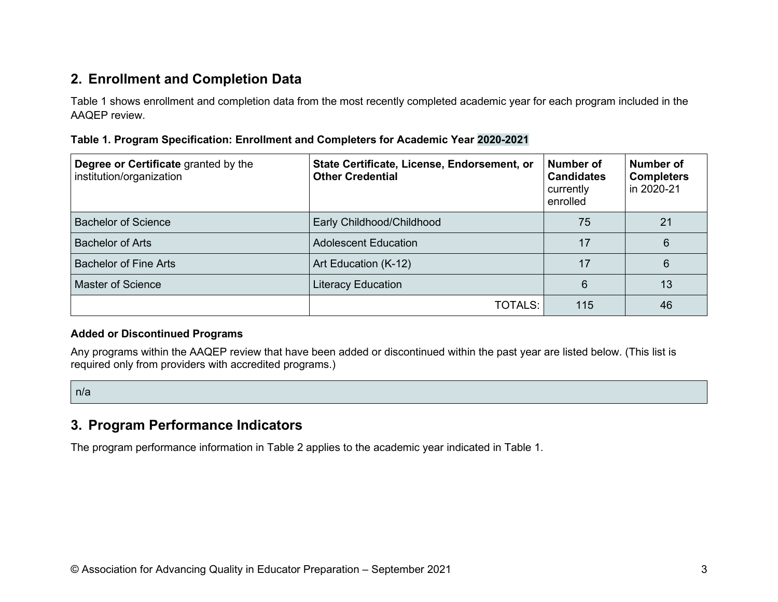### **2. Enrollment and Completion Data**

Table 1 shows enrollment and completion data from the most recently completed academic year for each program included in the AAQEP review.

| Table 1. Program Specification: Enrollment and Completers for Academic Year 2020-2021 |  |  |
|---------------------------------------------------------------------------------------|--|--|
|---------------------------------------------------------------------------------------|--|--|

| Degree or Certificate granted by the<br>institution/organization | State Certificate, License, Endorsement, or<br><b>Other Credential</b> | Number of<br><b>Candidates</b><br>currently<br>enrolled | Number of<br><b>Completers</b><br>in 2020-21 |
|------------------------------------------------------------------|------------------------------------------------------------------------|---------------------------------------------------------|----------------------------------------------|
| <b>Bachelor of Science</b>                                       | Early Childhood/Childhood                                              | 75                                                      | 21                                           |
| <b>Bachelor of Arts</b>                                          | <b>Adolescent Education</b>                                            | 17                                                      | 6                                            |
| <b>Bachelor of Fine Arts</b>                                     | Art Education (K-12)                                                   | 17                                                      | 6                                            |
| <b>Master of Science</b>                                         | Literacy Education                                                     | 6                                                       | 13                                           |
|                                                                  | TOTALS:                                                                | 115                                                     | 46                                           |

#### **Added or Discontinued Programs**

Any programs within the AAQEP review that have been added or discontinued within the past year are listed below. (This list is required only from providers with accredited programs.)

n/a

### **3. Program Performance Indicators**

The program performance information in Table 2 applies to the academic year indicated in Table 1.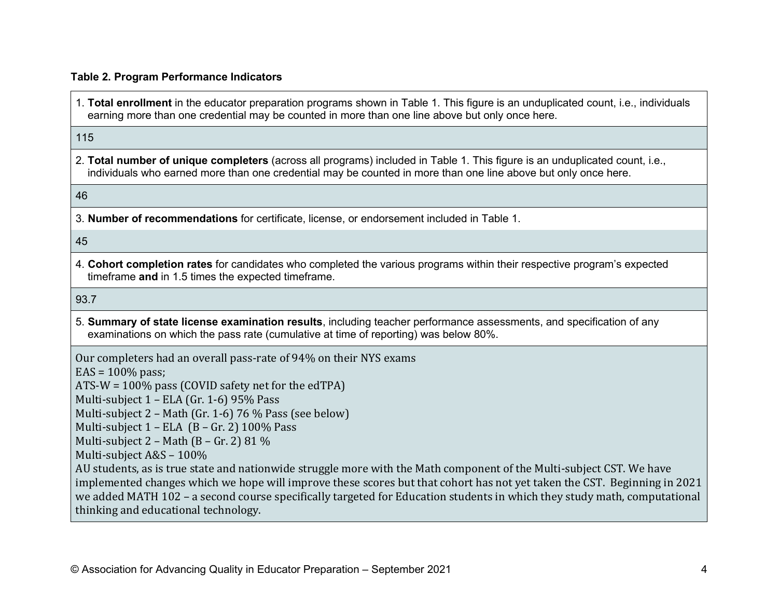#### **Table 2. Program Performance Indicators**

1. **Total enrollment** in the educator preparation programs shown in Table 1. This figure is an unduplicated count, i.e., individuals earning more than one credential may be counted in more than one line above but only once here.

#### 115

2. **Total number of unique completers** (across all programs) included in Table 1. This figure is an unduplicated count, i.e., individuals who earned more than one credential may be counted in more than one line above but only once here.

#### 46

3. **Number of recommendations** for certificate, license, or endorsement included in Table 1.

#### 45

4. **Cohort completion rates** for candidates who completed the various programs within their respective program's expected timeframe **and** in 1.5 times the expected timeframe.

#### 93.7

5. **Summary of state license examination results**, including teacher performance assessments, and specification of any examinations on which the pass rate (cumulative at time of reporting) was below 80%.

Our completers had an overall pass-rate of 94% on their NYS exams

 $EAS = 100\%$  pass:

ATS-W = 100% pass (COVID safety net for the edTPA)

Multi-subject 1 – ELA (Gr. 1-6) 95% Pass

Multi-subject 2 – Math (Gr. 1-6) 76 % Pass (see below)

Multi-subject  $1$  – ELA (B – Gr. 2) 100% Pass

Multi-subject  $2$  – Math (B – Gr. 2) 81 %

Multi-subject A&S – 100%

AU students, as is true state and nationwide struggle more with the Math component of the Multi-subject CST. We have implemented changes which we hope will improve these scores but that cohort has not yet taken the CST. Beginning in 2021 we added MATH 102 – a second course specifically targeted for Education students in which they study math, computational thinking and educational technology.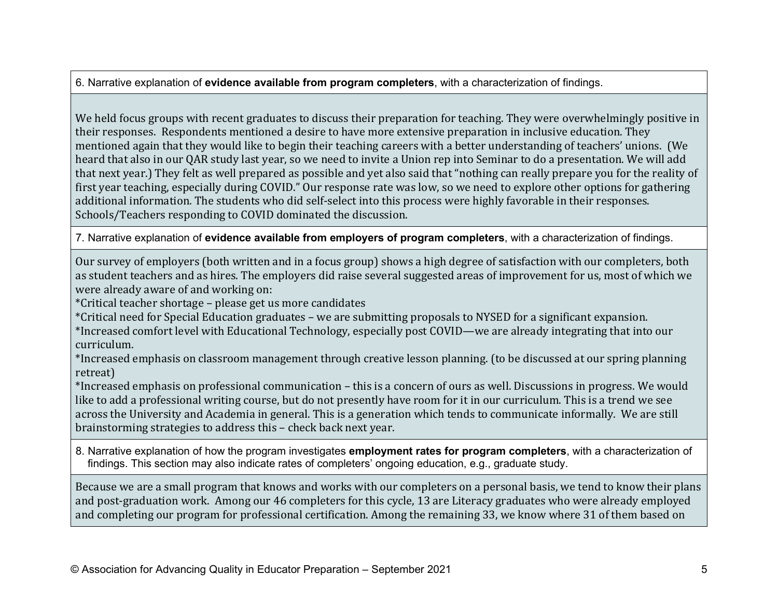6. Narrative explanation of **evidence available from program completers**, with a characterization of findings.

We held focus groups with recent graduates to discuss their preparation for teaching. They were overwhelmingly positive in their responses. Respondents mentioned a desire to have more extensive preparation in inclusive education. They mentioned again that they would like to begin their teaching careers with a better understanding of teachers' unions. (We heard that also in our QAR study last year, so we need to invite a Union rep into Seminar to do a presentation. We will add that next year.) They felt as well prepared as possible and yet also said that "nothing can really prepare you for the reality of first year teaching, especially during COVID." Our response rate was low, so we need to explore other options for gathering additional information. The students who did self-select into this process were highly favorable in their responses. Schools/Teachers responding to COVID dominated the discussion.

7. Narrative explanation of **evidence available from employers of program completers**, with a characterization of findings.

Our survey of employers (both written and in a focus group) shows a high degree of satisfaction with our completers, both as student teachers and as hires. The employers did raise several suggested areas of improvement for us, most of which we were already aware of and working on:

\*Critical teacher shortage – please get us more candidates

\*Critical need for Special Education graduates – we are submitting proposals to NYSED for a significant expansion.

\*Increased comfort level with Educational Technology, especially post COVID—we are already integrating that into our curriculum.

\*Increased emphasis on classroom management through creative lesson planning. (to be discussed at our spring planning retreat)

\*Increased emphasis on professional communication – this is a concern of ours as well. Discussions in progress. We would like to add a professional writing course, but do not presently have room for it in our curriculum. This is a trend we see across the University and Academia in general. This is a generation which tends to communicate informally. We are still brainstorming strategies to address this – check back next year.

8. Narrative explanation of how the program investigates **employment rates for program completers**, with a characterization of findings. This section may also indicate rates of completers' ongoing education, e.g., graduate study.

Because we are a small program that knows and works with our completers on a personal basis, we tend to know their plans and post-graduation work. Among our 46 completers for this cycle, 13 are Literacy graduates who were already employed and completing our program for professional certification. Among the remaining 33, we know where 31 of them based on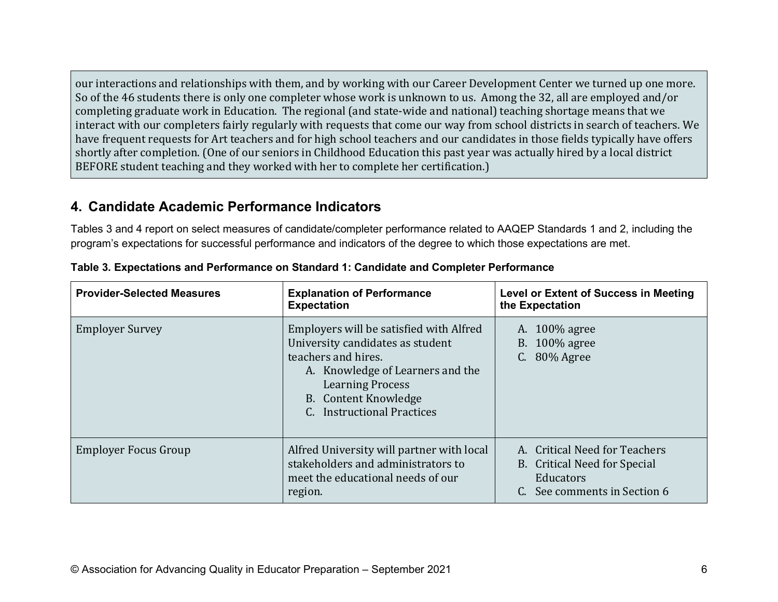our interactions and relationships with them, and by working with our Career Development Center we turned up one more. So of the 46 students there is only one completer whose work is unknown to us. Among the 32, all are employed and/or completing graduate work in Education. The regional (and state-wide and national) teaching shortage means that we interact with our completers fairly regularly with requests that come our way from school districts in search of teachers. We have frequent requests for Art teachers and for high school teachers and our candidates in those fields typically have offers shortly after completion. (One of our seniors in Childhood Education this past year was actually hired by a local district BEFORE student teaching and they worked with her to complete her certification.)

### **4. Candidate Academic Performance Indicators**

Tables 3 and 4 report on select measures of candidate/completer performance related to AAQEP Standards 1 and 2, including the program's expectations for successful performance and indicators of the degree to which those expectations are met.

| <b>Provider-Selected Measures</b> | <b>Explanation of Performance</b><br><b>Expectation</b>                                                                                                                                                                            | <b>Level or Extent of Success in Meeting</b><br>the Expectation                                            |
|-----------------------------------|------------------------------------------------------------------------------------------------------------------------------------------------------------------------------------------------------------------------------------|------------------------------------------------------------------------------------------------------------|
| <b>Employer Survey</b>            | Employers will be satisfied with Alfred<br>University candidates as student<br>teachers and hires.<br>A. Knowledge of Learners and the<br><b>Learning Process</b><br><b>B.</b> Content Knowledge<br><b>Instructional Practices</b> | A. 100\% agree<br>B. $100\%$ agree<br>C. 80% Agree                                                         |
| <b>Employer Focus Group</b>       | Alfred University will partner with local<br>stakeholders and administrators to<br>meet the educational needs of our<br>region.                                                                                                    | A. Critical Need for Teachers<br>B. Critical Need for Special<br>Educators<br>C. See comments in Section 6 |

**Table 3. Expectations and Performance on Standard 1: Candidate and Completer Performance**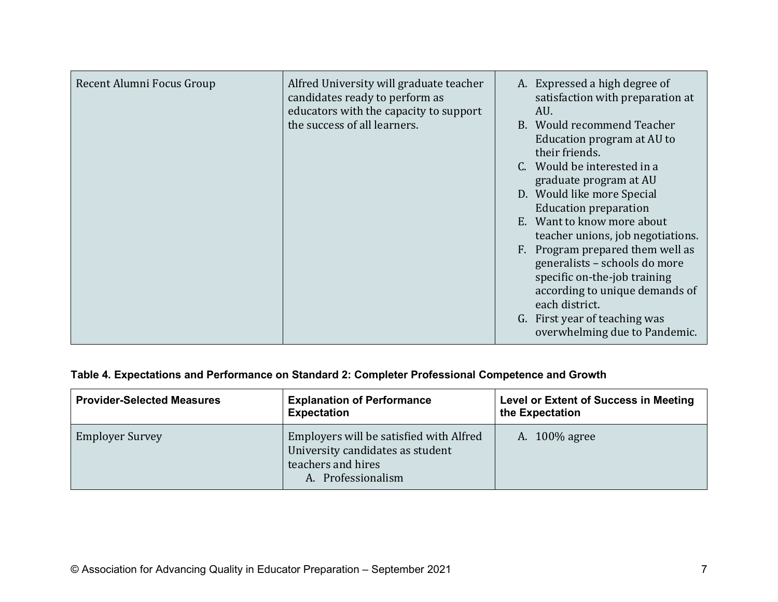| Recent Alumni Focus Group<br>Alfred University will graduate teacher<br>candidates ready to perform as<br>educators with the capacity to support<br>the success of all learners. | A. Expressed a high degree of<br>satisfaction with preparation at<br>AU.<br>B. Would recommend Teacher<br>Education program at AU to<br>their friends.<br>C. Would be interested in a<br>graduate program at AU<br>D. Would like more Special<br><b>Education preparation</b><br>E. Want to know more about<br>teacher unions, job negotiations.<br>F. Program prepared them well as<br>generalists - schools do more<br>specific on-the-job training<br>according to unique demands of<br>each district.<br>G. First year of teaching was<br>overwhelming due to Pandemic. |
|----------------------------------------------------------------------------------------------------------------------------------------------------------------------------------|-----------------------------------------------------------------------------------------------------------------------------------------------------------------------------------------------------------------------------------------------------------------------------------------------------------------------------------------------------------------------------------------------------------------------------------------------------------------------------------------------------------------------------------------------------------------------------|
|----------------------------------------------------------------------------------------------------------------------------------------------------------------------------------|-----------------------------------------------------------------------------------------------------------------------------------------------------------------------------------------------------------------------------------------------------------------------------------------------------------------------------------------------------------------------------------------------------------------------------------------------------------------------------------------------------------------------------------------------------------------------------|

### **Table 4. Expectations and Performance on Standard 2: Completer Professional Competence and Growth**

| <b>Provider-Selected Measures</b> | <b>Explanation of Performance</b><br><b>Expectation</b>                                                                 | <b>Level or Extent of Success in Meeting</b><br>the Expectation |
|-----------------------------------|-------------------------------------------------------------------------------------------------------------------------|-----------------------------------------------------------------|
| <b>Employer Survey</b>            | Employers will be satisfied with Alfred<br>University candidates as student<br>teachers and hires<br>A. Professionalism | A. 100% agree                                                   |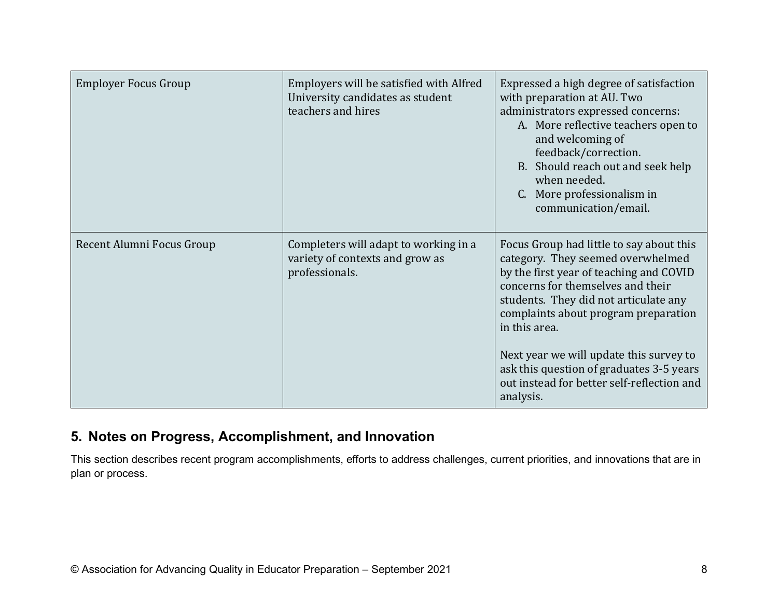| <b>Employer Focus Group</b> | Employers will be satisfied with Alfred<br>University candidates as student<br>teachers and hires | Expressed a high degree of satisfaction<br>with preparation at AU. Two<br>administrators expressed concerns:<br>A. More reflective teachers open to<br>and welcoming of<br>feedback/correction.<br>B. Should reach out and seek help<br>when needed.<br>C. More professionalism in<br>communication/email.                                                                                                        |
|-----------------------------|---------------------------------------------------------------------------------------------------|-------------------------------------------------------------------------------------------------------------------------------------------------------------------------------------------------------------------------------------------------------------------------------------------------------------------------------------------------------------------------------------------------------------------|
| Recent Alumni Focus Group   | Completers will adapt to working in a<br>variety of contexts and grow as<br>professionals.        | Focus Group had little to say about this<br>category. They seemed overwhelmed<br>by the first year of teaching and COVID<br>concerns for themselves and their<br>students. They did not articulate any<br>complaints about program preparation<br>in this area.<br>Next year we will update this survey to<br>ask this question of graduates 3-5 years<br>out instead for better self-reflection and<br>analysis. |

## **5. Notes on Progress, Accomplishment, and Innovation**

This section describes recent program accomplishments, efforts to address challenges, current priorities, and innovations that are in plan or process.